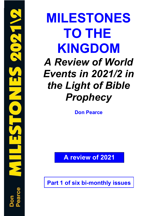**MILESTONES TO THE KINGDOM** *A Review of World Events in 2021/2 in the Light of Bible Prophecy*

**Don Pearce**

**A review of 2021**

**Part 1 of six bi-monthly issues**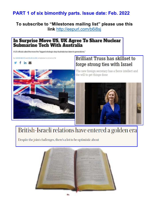## **PART 1 of six bimonthly parts. Issue date: Feb. 2022**

**To subscribe to "Milestones mailing list" please use this link** <http://eepurl.com/b6i8sj>

# In Surprise Move US, UK Agree To Share Nuclear<br>Submarine Tech With Australia

A US official called the move the "biggest strategic step Australia has taken in generations."

By AARON MEHTA and COLIN CLARK on September 15, 2021 at 5:00 PM

 $f$  in  $\approx$ 

## **Brilliant Truss has skillset to** forge strong ties with Israel



The new foreign secretary has a fierce intellect and the will to get things done



## British-Israeli relations have entered a golden era

Despite the joint challenges, there's a lot to be optimistic about

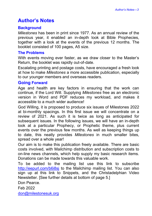## <span id="page-2-0"></span>**Author's Notes**

#### **Background**

*Milestones* has been in print since 1977. As an annual review of the previous year, it enabled an in-depth look at Bible Prophecies, together with a look at the events of the previous 12 months. The booklet consisted of 100 pages, A5 size.

#### **The Problems**

With events moving ever faster, as we draw closer to the Master's Return, the booklet was rapidly out-of-date.

Escalating printing and postage costs, have encouraged a fresh look at how to make *Milestones* a more accessible publication, especially to our younger members and overseas readers.

#### **Going Forward**

Age and health are key factors in ensuring that the work can continue, if the Lord Will. Supplying *Milestones* free as an electronic version in Word and PDF reduces my workload, and makes it accessible to a much wider audience!

God Willing, it is proposed to produce six issues of Milestones 2022 at bi-monthly spacings. In this first issue we will concentrate on a review of 2021. As such it is twice as long as anticipated for subsequent issues. In the following issues, we will have an in-depth look at a particular Prophecy, or Prophetic theme, plus current events over the previous few months. As well as keeping things up to date, this neatly provides *Milestones* in much smaller bites, spread over a whole year!

Our aim is to make this publication freely available. There are basic costs involved, with Mailchimp distribution and subscription costs to on-line news channels, which help supply my basic research items. Donations can be made towards this valuable work.

To be added to the mailing list use this link to subscribe <http://eepurl.com/b6i8sj> to the Mailchimp mailing list. You can also sign up at this link to Snippets, and the Christadelphian Video Newsletter. [See further details at bottom of page 5.]

Don Pearce.

Feb 2022

[don@milestonesuk.org](mailto:don@milestonesuk.org)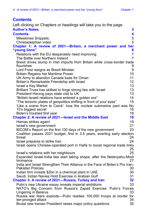### <span id="page-3-0"></span>**Contents**

Left clicking on Chapters or headings will take you to the page. **[Author's Notes](#page-2-0) 3**

| <b>AULINI S NULLES</b>                                                                                            | ◡              |
|-------------------------------------------------------------------------------------------------------------------|----------------|
| <b>Contents.</b>                                                                                                  | 4              |
| <b>Milestones Snippets:</b>                                                                                       | 5              |
| Christadelphian video                                                                                             | 5              |
| Chapter 1: A review of 2021-Britain, a merchant power and her                                                     |                |
| "young lions"                                                                                                     | 6              |
| Relations with the EU desperately need improving                                                                  | $\overline{7}$ |
| The Battle over Northern Ireland                                                                                  | $\overline{7}$ |
| Brexit drives slump in Irish imports from Britain while cross-border trade                                        |                |
| flourishes                                                                                                        | 9              |
| Lord Frost resigns as Brexit Minister                                                                             | 9              |
| <b>Britain Regains her Maritime Power</b>                                                                         | 10             |
| UK Army to abandon Canada base for Oman                                                                           | 11             |
| Britain's Remarkable Friendship with Israel                                                                       | 12             |
| Israel a Key Market                                                                                               | 13<br>13       |
| Brilliant Truss has skillset to forge strong ties with Israel<br>President Herzog pays state visit to UK          | 13             |
| "British-Israeli relations have entered a golden era"                                                             | 14             |
| "The tectonic plates of geopolitics shifting in front of your eyes"                                               | 15             |
| 'Like a scene from le Carré': how the nuclear submarine pact was No                                               |                |
| 10's biggest secret                                                                                               | 16             |
| Biden's troubled first year                                                                                       | 18             |
| Chapter 2: A review of 2021-Israel and the Middle East                                                            | 19             |
| Hamas strikes again!                                                                                              | 19             |
| Israel's new government                                                                                           | 21             |
| BICOM's Report on the first 100 days of the new government                                                        | 23             |
| Coalition passes 2021 budget, first in 3.5 years, averting early election                                         |                |
| threat                                                                                                            | 24             |
| Israel prepares to strike Iran                                                                                    | 24             |
| Israel opens Chinese-operated port in Haifa to boost regional trade links                                         |                |
|                                                                                                                   | 25             |
| Israel's relations with her neighbours<br>Expanded Israel-India ties start taking shape, after the Netanyahu-Modi | 25             |
| bromance                                                                                                          | 27             |
| India and Israel Strengthen Their Alliance in the Face of Biden's Pro Iran-                                       |                |
| Pakistan Policies                                                                                                 | 30             |
| Indian firm invests \$2bn in a chemical plant in UAE                                                              | 30             |
| Saudi, Indian Navies Hold Exercise in Arabian Gulf                                                                | 31             |
| Chapter 3: A review of 2021-Russia, Turkey and Iran                                                               | 32             |
| Putin's new Ukraine essay reveals imperial ambitions                                                              | 33             |
| NATO's Big Concern from Russia's Zapad Exercise: Putin's Forces                                                   |                |
| Lingering in Belarus                                                                                              | 33             |
| Russia war fears explode—Putin readies 100,000 troops at border for                                               |                |
| ten-pronged attack                                                                                                | 34             |
| Brutal new Iranian President raises major policy questions                                                        | 35             |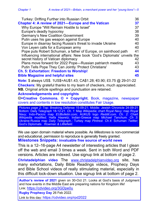| Turkey: Drifting Further into Russian Orbit                               | 36 |  |
|---------------------------------------------------------------------------|----|--|
| Chapter 4: A review of 2021-Europe and the Vatican                        | 37 |  |
| Why Europe "Will Remain Hostile to Israel"                                | 37 |  |
| Europe's deadly hypocrisy                                                 | 38 |  |
| Germany's New Coalition Government                                        | 39 |  |
| Putin uses his gas weapon against Europe                                  | 40 |  |
| Europe in disarray facing Russia's threat to invade Ukraine               | 40 |  |
| Von Leyen calls for a European army                                       | 40 |  |
| Pope puts Robert Schuman, a father of Europe, on sainthood path           | 41 |  |
| Influencing international affairs: New book 'God's Diplomats' unveils the |    |  |
| secret history of Vatican diplomacy                                       | 42 |  |
| Plans move forward for 2022 Pope-Russian patriarch meeting                | 43 |  |
| Putin Tells Pope They Can Jointly 'Protect Christians'                    | 43 |  |
| <b>Ch. 5: Exhortation: Freedom to Worship!</b>                            | 44 |  |
| <b>Bible Magazine and helpful sites</b>                                   | 45 |  |
| Note: \$ always US\$. 1US\$=AU\$1.43; CA\$1.28; €0.90; £0.75 @ 29-01-22   |    |  |

**Checkers:** My grateful thanks to my team of checkers, much appreciated. **NB.** Original article spellings and punctuation are retained.

#### **Acknowledgements and copyrights**

**=Creative Commons. © = Copyright.** Book, magazine, newspaper covers and contents in low resolution constitutes Fair Usage.

*Pictures page 2:* Top: Breaking Defense 15-09-21; Middle: Jewish Chronicle 24-09-21 Bottom: Daily Telegraph 18-12-21*. Ch. 1:* Map *Wikipedia*; chart *Royal Navy;* map *Royal Navy;* Indo-Pacicic map *EUBulletin.com;* AUKUS logo *Reddit.com. Ch. 2:* Chart *Wikipedia modified;* Haifa *Haaretz;* Indian-Greece map *Michael Tanchum. Ch 3:*  Ukraine-Russia map *Daily Telegraph.;* Turkey map *Pintrest. Ch.4:* Schuman *Twitter;*  God's Diplomats *Rowman & Littlefield.*

We use open domain material where possible. As *Milestones* is non-commercial and educational, permission to reproduce is generally freely granted. **Milestones Snippets: invaluable free source of world news**

<span id="page-4-0"></span>This is a 12–16-page A4 newsletter of interesting articles that I glean off the web and email 3 times a week. Sent in both Word and PDF versions. Articles are indexed. Use signup link at bottom of page 2.

<span id="page-4-1"></span>**Christadelphian video** The [www.christadelphianvideo.org](http://www.christadelphianvideo.org/) site, has many exhortations, Daily Bible Readings videos, Prophecy Days and Bible School videos of really stimulating material, especially in this difficult lock-down situation. Use signup link at bottom of page 2.

**Author's review of 2021** given on 30-Oct 21. Looks at God's basis of Judgment and how events in the Middle East are preparing nations for Kingdom life! Link: <https://cdvideo.org/3GDpe0u>

**Rugby Prophecy Day** 26 Feb 2022.

Link to this day: <https://cdvideo.org/rpd2022>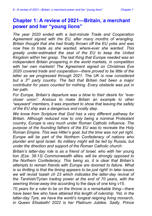## <span id="page-5-0"></span>**Chapter 1: A review of 2021—Britain, a merchant power and her "young lions"**

*The year 2020 ended with a last-minute Trade and Cooperation Agreement signed with the EU, after many months of wrangling. Britain thought that she had finally thrown off the EU yoke and was now free to trade as she wanted, where-ever she wanted. This greatly under-estimated the zeal of the EU to keep the United Kingdom within her grasp. The last thing that Europe needed was an independent Britain prospering in the world markets, in competition with her own markets! The Agreement signed on Christmas Eve 2020 covered trade and cooperation—there proved to be little of the latter as we progressed through 2021. The UK is now considered but a 3rd party country. The fact that Britain had been a major contributor for years counted for nothing. Every obstacle was put in her path.*

*For Europe, Britain's departure was a blow to their desire for "ever closer union". Anxious to make Britain an example to other "wayward" members, it was important to show that leaving the safety of the EU ship was a dangerous and costly step.*

*We know from Scripture that God has a very different pathway for Britain. Although reduced now to only being a nominal Protestant country, Europe is very much under Roman Catholic influence. The purpose of the founding fathers of the EU was to recreate the Holy Roman Empire. This was Hitler's goal, but the time was not yet right. Europe will be part of the Northern Confederacy of nations who plunder and spoil Israel. Its military might will be led by Russia, but under the direction and support of the Roman Catholic church.*

*Britain's latter-day role is as a friend of Israel, who with her* young lion *(Eze. 38:13) Commonwealth allies, will be strongly opposed to the Northern Confederacy. This being so, it is clear that Britain's attempts to remain friends with Europe are doomed to failure. What is so thrilling is that the timing appears to be just right! In later issues we will revisit Isaiah ch 23 which indicates the latter-day revival of the Tarshish/Tyrian trading power at the end of 70 years, with the seeming throw-away line* according to the days of one king *v15.*

*70 years for a ruler to be on the throne is a remarkable thing—there have been few who have attained this length of rulership. Yet, in the latter-day Tyre, we have the world's longest reigning living monarch, in Queen Elisabeth! 2022 is her Platinum Jubilee. Sadly, Prince*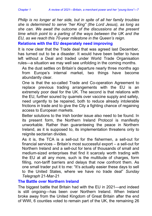*Philip is no longer at her side, but in spite of all her family troubles she is determined to serve "her King" (the Lord Jesus), as long as she can. We await the outcome of the discussions at the present time which point to a parting of the ways between the UK and the EU, as we reach this 70-year milestone in the Queen's reign.*

#### <span id="page-6-0"></span>**Relations with the EU desperately need improving**

It is now clear that the Trade deal that was agreed last December, has turned out to be a disaster. It would have been better to have left without a Deal and traded under World Trade Organisation rules—a situation we may well see unfolding in the coming months.

As the dust settles on Britain's departure nearly three months ago from Europe's internal market, two things have become abundantly clear.

One is that the so-called Trade and Co-operation Agreement to replace previous trading arrangements with the EU is an extremely poor deal for the UK. The second is that relations with the EU, further soured by quarrels over vaccine supply and safety, need urgently to be repaired, both to reduce already intolerable frictions in trade and to give the City a fighting chance of regaining access to European markets.

Better solutions to the Irish border issue also need to be found. In its present form, the Northern Ireland Protocol is manifestly unworkable. Rather than guaranteeing the peace in Northern Ireland, as it is supposed to, its implementation threatens only to reignite sectarian divides.

As it is, the TCA is a sell-out for the fishermen, a sell-out for financial services – Britain's most successful export – a sell-out for Northern Ireland and a sell-out for tens of thousands of small and medium-sized enterprises that find it scarcely worth trading with the EU at all any more, such is the multitude of charges, form filling, non-tariff barriers and delays that now confront them. As one small trader put it to me: "It's actually easier these days to sell to the United States, where we have no trade deal" *Sunday Telegraph* 21-Mar-21

#### <span id="page-6-1"></span>**The Battle over Northern Ireland**

The biggest battle that Britain had with the EU in 2021—and indeed is still ongoing—has been over Northern Ireland. When Ireland broke away from the United Kingdom of Great Britain after the end of WWI, 6 counties voted to remain part of the UK, the remaining 26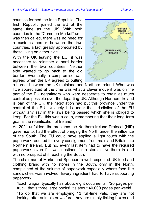counties formed the Irish Republic. The Irish Republic joined the EU at the same time as the UK. With both countries in the "Common Market" as it was then called, there was no need for a customs border between the two countries, a fact greatly appreciated by those living on either side.

With the UK leaving the EU, it was necessary to reinstate a hard border between the two countries. Neither side wanted to go back to the old border. Eventually a compromise was agreed when the UK agreed to putting



a border between the UK mainland and Northern Ireland. What was little appreciated at the time was what a clever move it was on the part of the EU negotiators who were desperate to retain as much control as possible over the departing UK. Although Northern Ireland is part of the UK, the negotiation had put this province under the control of the EU. Uniquely it is under the jurisdiction of the EU without any say in the laws being passed which she is obliged to keep. For the EU this was a coup, remembering that their long-term goal is the reunification of Ireland!

As 2021 unfolded, the problems the Northern Ireland Protocol (NIP) gave rise to, had the effect of bringing the North under the influence of the South. The EU could have applied a light touch with the paperwork required for every consignment from mainland Britain into Northern Ireland. But no, every last item had to have the required paperwork, even if it was destined for a store in Northern Ireland with no prospect of it reaching the South.

The chairman of Marks and Spencer, a well-respected UK food and clothing brand with no stores in the South, only in the North, complained of the volume of paperwork especially where food like sandwiches was involved. Every ingredient had to have supporting paperwork!

"Each wagon typically has about eight documents, 720 pages per truck, that's three large books! It's about 40,000 pages per week!

"To do that we are employing 13 full-time vets, they are not looking after animals or welfare, they are simply ticking boxes and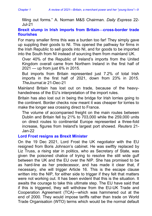filling out forms." A. Norman M&S Chairman. *Daily Express* 22- Jul-21

#### <span id="page-8-0"></span>**Brexit slump in Irish imports from Britain—cross-border trade flourishes**

For many smaller firms this was a burden too far! They simply gave up suppling their goods to NI. This opened the pathway for firms in the Irish Republic to sell goods into NI, and for goods to be imported into the South from NI instead of sourcing them from mainland UK.

Over 40% of the Republic of Ireland's imports from the United Kingdom overall came from Northern Ireland in the first half of 2021 — up from just 6% in 2015.

But imports from Britain represented just 7.2% of total Irish imports in the first half of 2021, down from 23% in 2015. *TheJournal.ie* 21-Dec-21

Mainland Britain has lost out on trade, because of the heavyhandedness of the EU's interpretation of the import rules.

Britain has also lost out in being the bridge for Irish lorries going to the continent. Border checks now meant it was cheaper for lorries to make the longer sea crossing direct to France.

The volume of accompanied freight on the main routes between Dublin and Britain fell by 21% to 703,000 while the 259,000 units on direct routes to continental Europe represented a three-fold increase, figures from Ireland's largest port showed. *Reuters* 21- Jan-22

#### <span id="page-8-1"></span>**Lord Frost resigns as Brexit Minister**

On the 19 Dec 2021, Lord Frost the UK negotiator with the EU resigned from Boris Johnson's cabinet. He was swiftly replaced by Liz Truss, a rising star in politics, who as Secretary of State, was given the poisoned chalice of trying to resolve the still wide gulf between the UK and the EU over the NIP. She has promised to be as hard-line as her predecessor, and has made it clear that, if necessary, she will trigger Article 16. This is the escape clause written into the NIP, for either side to trigger if they felt that matters were not working out. It has been evident that this is the situation. It awaits the courage to take this ultimate step. The EU have said that if this is triggered, they will withdraw from the EU-UK Trade and Cooperation Agreement (TCA)—which was hammered out at the end of 2000. They would impose tariffs rather than trade on World Trade Organisation (WTO) terms which would be the normal default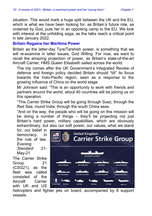situation. This would mark a huge split between the UK and the EU, which is what we have been looking for, as Britain's future role, as ordained by God, puts her in an opposing camp to the EU. We look with interest at the unfolding saga, as the talks reach a critical point in late January 2022.

#### <span id="page-9-0"></span>**Britain Regains her Maritime Power**

Britain as the latter-day Tyre/Tarshish power, is something that we will re-examine in latter issues, God Willing. For now, we want to recall the amazing projection of power, as Britain's state-of-the-art Aircraft Carrier, HMS Queen Elisabeth sailed across the world.

The trip comes after the UK Government's Integrated Review of defence and foreign policy decided Britain should "tilt" its focus towards the Indo-Pacific region, seen as a response to the growing influence of China on the world stage.

Mr Johnson said: "This is an opportunity to work with friends and partners around the world, about 40 countries will be joining us on this operation.

"This Carrier Strike Group will be going through Suez, through the Red Sea, round India, through the south China seas.

"And on the way, the people who will be going on this mission will be doing a number of things – they'll be projecting not just Britain's hard power, military capabilities, which are obviously extraordinary, but also our soft power, our values, what we stand

for, our belief in democracy, in the rule of law. *Evening Standard* 21- May-21

The Carrier Strike Group 21 (CSG21), as the fleet was called consisted of the Aircraft Carrier with UK and US



helicopters and fighter jets on board, accompanied by 8 support vessels.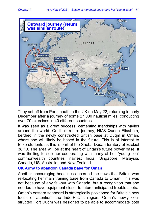

They set off from Portsmouth in the UK on May 22, returning in early December after a journey of some 27,000 nautical miles, conducting over 70 exercises in 40 different countries.

It was seen as a great success, cementing friendships with navies around the world. On their return journey, HMS Queen Elisabeth, berthed in the newly constructed British base at Duqm in Oman, where she will likely be based in the future. This is of interest to Bible students as this is part of the Sheba-Dedan territory of Ezekiel 38:13. The area will be at the heart of Britain's future power base. It was thrilling to see her cooperating with many of her "young lion" commonwealth countries' navies: India, Singapore, Malaysia, Canada, US, Australia, and New Zealand.

#### <span id="page-10-0"></span>**UK Army to abandon Canada base for Oman**

Another encouraging headline concerned the news that Britain was re-locating her main training base from Canada to Oman. This was not because of any fall-out with Canada, but a recognition that she needed to have equipment closer to future anticipated trouble spots.

Oman's eastern seaboard is strategically positioned for Britain's new focus of attention—the Indo-Pacific region. Oman's newly constructed Port Duqm was designed to be able to accommodate both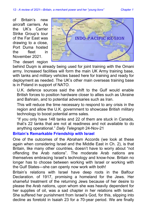of Britain's new aircraft carriers. As the UK's Carrier Strike Group's tour of the Far East was drawing to a close, Port Duma hosted the fleet in November 2021.

The desert region



behind Duqm is already being used for joint training with the Omani army. Increased facilities will form the main UK Army training base, with tanks and military vehicles based here for training and ready for deployment as needed. The UK's other main overseas training base is in Poland in support of NATO.

U.K. defence sources said the shift to the Gulf would enable British forces to position hardware closer to allies such as Ukraine and Bahrain, and to potential adversaries such as Iran.

This will reduce the time necessary to respond to any crisis in the region and allow the U.K. government to showcase British military technology to boost potential arms sales.

"If you only have 148 tanks and 22 of them are stuck in Canada, that's 22 tanks that are not at readiness and not available to do anything operational." *Daily Telegraph* 24-Nov-21

#### <span id="page-11-0"></span>**Britain's Remarkable Friendship with Israel**

One of the outcomes of the Abraham Accords (we look at these again when considering Israel and the Middle East in Ch. 2), is that Britain, like many other countries, doesn't have to worry about "not offending the Arab nations". The moderate Arab nations are themselves embracing Israel's technology and know-how. Britain no longer has to choose between working with Israel or working with the Gulf States—she can openly now work with both!

Britain's relations with Israel have deep roots in the Balfour Declaration. of 1917, promising a homeland for the Jews. Her shameful treatment of the returning Jews because of her desire to please the Arab nations, upon whom she was heavily dependent for her supplies of oil, was a sad chapter in her relations with Israel. She suffered her punishment from Israel's God, for this, slipping into decline as foretold in Isaiah 23 for a 70-year period. We are finally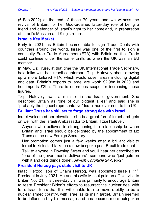(6-Feb.2022) at the end of those 70 years and we witness the revival of Britain, for her God-ordained latter-day role of being a friend and defender of Israel's right to her homeland, in preparation of Israel's Messiah and King's return.

#### <span id="page-12-0"></span>**Israel a Key Market**

Early in 2021, as Britain became able to sign Trade Deals with countries around the world, Israel was one of the first to sign a continuity Free Trade Agreement (FTA) with Britain so that Trade could continue under the same tariffs as when the UK was an EU member.

In May, Liz Truss, at that time the UK International Trade Secretary, held talks with her Israeli counterpart, Tzipi Hotovely about drawing up a more tailored FTA, which would cover areas including digital and data. Britain's exports to Israel are worth £2.9bn in 2020 and her imports £2bn. There is enormous scope for increasing these figures.

Tzipi Hotovely, was a minister in the Israeli government. She described Britain as "one of our biggest allies" and said she is "probably the highest representative" Israel has ever sent to the UK.

#### <span id="page-12-1"></span>**Brilliant Truss has skillset to forge strong ties with Israel**

Israel welcomed her elevation; she is a great fan of Israel and gets on well with the Israeli Ambassador to Britain, Tzipi Hotovely.

Anyone who believes in strengthening the relationship between Britain and Israel should be delighted by the appointment of Liz Truss as the new Foreign Secretary.

Her promotion comes just a few weeks after a brilliant visit to Israel to kick start talks on a new bespoke post-Brexit trade deal.

Talk to anyone in Downing Street and you'll hear her described as "one of the government's deliverers", someone who "just gets on with it and gets things done". *Jewish Chronicle* 24-Sep-21

#### <span id="page-12-2"></span>**President Herzog pays state visit to UK**

Isaac Herzog, son of Chaim Herzog, was appointed Israel's 11<sup>th</sup> President in July 2021. He and his wife Michal paid an official visit to Britain Nov 21. His three-day visit was primarily to encourage Britain to resist President Biden's efforts to resurrect the nuclear deal with Iran. Israel fears that this will enable Iran to move rapidly to be a nuclear armed country, with Israel as its main target. Britain seemed to be influenced by his message and has become more outspoken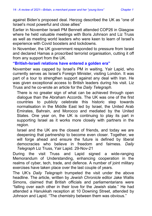against Biden's proposed deal. Herzog described the UK as "one of Israel's most powerful and close allies"

Earlier in November Israeli PM Bennett attended COP26 in Glasgow where he held valuable meetings with Boris Johnson and Liz Truss as well as meeting world leaders who were keen to learn of Israel's experience with Covid boosters and lockdowns.

In November, the UK government responded to pressure from Israel and declared Hamas a proscribed terrorist organisation, cutting it off from any support from the UK.

#### <span id="page-13-0"></span>**"British-Israeli relations have entered a golden era"**

November was capped by Israel's PM in waiting, Yair Lapid, who currently serves as Israel's Foreign Minister, visiting London. It was part of a tour to strengthen support against any deal with Iran. He was given exceptional access to British leaders during his visit. Liz Truss and he co-wrote an article for the *Daily Telegraph.*

There is no greater sign of what can be achieved through open dialogue than the Abraham Accords. The UK was one of the first countries to publicly celebrate this historic step towards normalisation in the Middle East led by Israel, the United Arab Emirates, Bahrain, and Morocco and mediated by the United States. One year on, the UK is continuing to play its part in supporting Israel as it works more closely with partners in the region.

Israel and the UK are the closest of friends, and today we are deepening that partnership to become even closer. Together, we will forge ahead and ensure the future is defined by liberal democracies who believe in freedom and fairness. *Daily Telegraph* Liz Truss, Yair Lapid. 29-Nov-21

During the visit Truss and Lapid signed a wide-ranging Memorandum of Understanding, enhancing cooperation in the realms of cyber, tech, trade, and defence. A number of joint military exercises have taken place over the last couple of years.

The UK's *Daily Telegraph* trumpeted the visit under the above headline. The article, written by *Jewish Chronicle* editor Jake Wallis Simons, claimed that British officials and parliamentarians were "falling over each other in their love for the Jewish state." He had attended a Hanukkah reception at 10 Downing Street, attended by Johnson and Lapid. "The chemistry between them was obvious."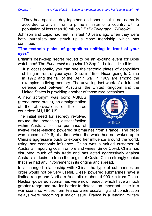"They had spent all day together, an honour that is not normally accorded to a visit from a prime minister of a country with a population of less than 10 million." *Daily Telegraph* 17-Dec-21

Johnson and Lapid had met in Israel 10 years ago when they were both journalists and struck up a close friendship, which has continued.

#### <span id="page-14-0"></span>**"The tectonic plates of geopolitics shifting in front of your eyes"**

Britain's best-keep secret proved to be an exciting event for Bible watchmen! The *Economist* magazine19-Sep-21 hailed it like this:

Just occasionally, you can see the tectonic plates of geopolitics shifting in front of your eyes. Suez in 1956, Nixon going to China in 1972 and the fall of the Berlin wall in 1989 are among the examples in living memory. The unveiling last week of a trilateral defence pact between Australia, the United Kingdom and the United States is providing another of those rare occasions.

A new acronym was born: AUKUS (pronounced orcus), an amalgamation of the abbreviations of the three countries: AU, UK, US.

The initial need for secrecy revolved around the increasing dissatisfaction within Australia to the purchase of



twelve diesel-electric powered submarines from France. The order was placed in 2016, at a time when the world had not woken up to China's aggressive push to expand her influence around the world, using her economic influence. China was a valued customer of Australia, importing coal, iron ore and wines. Since Covid, China has disrupted much of this trade and has acted aggressively against Australia's desire to trace the origins of Covid. China strongly denies that she had any involvement in its origins and spread.

In a changed relationship with China, the type of submarines on order would not be very useful. Diesel powered submarines have a limited range and Northern Australia is about 4,000 km from China. Nuclear-powered submarines were now needed, which have a much greater range and are far harder to detect—an important issue in a war scenario. Prices from France were escalating and construction delays were becoming a major issue. France is a leading military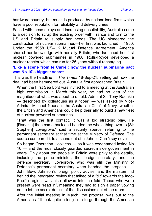hardware country, but much is produced by nationalised firms which have a poor reputation for reliability and delivery times.

Faced with these delays and increasing unsuitability, Australia came to a decision to scrap the existing order with France and turn to the US and Britain to supply her needs. The US pioneered the construction of nuclear submarines—her first was launched in 1950. Under the 1958 US–UK Mutual Defence Agreement, America shared her knowledge with her ally Britain, who launched her first nuclear powered submarines in 1960. Rolls-Royce developed a nuclear reactor which can run for 25 years without recharging.

#### <span id="page-15-0"></span>**'Like a scene from le Carré': how the nuclear submarine pact was No 10's biggest secret**

This was the headline in *The Times* 18-Sep-21, setting out how the deal had been hammered out. Australia first approached Britain.

When the First Sea Lord was invited to a meeting at the Australian high commission in March this year, he had no idea of the magnitude of what was about to unfold. Admiral Sir Tony Radakin — described by colleagues as a "doer" — was asked by Vice-Admiral Michael Noonan, the Australian Chief of Navy, whether the British and Americans could help their ally to build a new fleet of nuclear-powered submarines.

"That was the first contact. It was a big strategic play. He [Radakin] then came back and handed the whole thing over to [Sir Stephen] Lovegrove," said a security source, referring to the permanent secretary at that time at the Ministry of Defence. The source compared it to a scene out of a John le Carré spy novel.

So began Operation Hookless — as it was codenamed inside No 10 — and the most closely guarded secret inside government in years. Only about ten people in Britain were privy to the details, including the prime minister, the foreign secretary, and the defence secretary. Lovegrove, who was still the Ministry of Defence's permanent secretary when handed the proposal. … John Bew, Johnson's foreign policy adviser and the mastermind behind the integrated review that talked of a "tilt" towards the Indo-Pacific region, was also allowed into the fold. Those who were present were "read in", meaning they had to sign a paper vowing not to let the secret details of the discussions out of the room.

After the initial meeting in March, the proposal was put to the Americans. "It took quite a long time to go through the American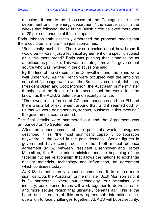machine—it had to be discussed at the Pentagon, the state department and the energy department," the source said. In the weeks that followed, those in the British circle believed there was a "20 per cent chance of it falling apart".

Boris Johnson enthusiastically embraced the proposal, seeing that there could be far more than just submarines.

"Boris really pushed it. There was a choice about how broad it would be — was it just a technical agreement on a specific subject or is this more broad? Boris was pushing that it had to be as ambitious as possible. This was a strategic move," a government source who was involved in the discussions said.

By the time of the G7 summit in Cornwall in June, the plans were well under way. As the French were occupied with the unfolding so-called "sausage war" over the Brexit divorce deal, Johnson, President Biden and Scott Morrison, the Australian prime minister thrashed out the details of a top-secret pact that would later be known as the AUKUS defence and security alliance.

"There was a lot of noise at G7 about sausages and the EU and there was a lot of excitement around that, and it seemed odd for us that we were doing serious, serious, business in this meeting," the government source added.

The final details were hammered out and the Agreement was announced on 15 September.

After the announcement of the pact this week, Lovegrove described it as "the most significant capability collaboration anywhere in the world in the past decades." Senior figures in government have compared it to the 1958 mutual defence agreement (MDA) between President Eisenhower and Harold Macmillan, the British prime minister, and the beginning of the "special nuclear relationship" that allows the nations to exchange nuclear materials, technology and information, an agreement which continues today.

AUKUS is not merely about submarines. It is much more significant. As the Australian prime minister Scott Morrison said, it is "a partnership where our technology, our scientists, our industry, our defence forces will work together to deliver a safer and more secure region that ultimately benefits all." This is the heart and strength of this new agreement: international cooperation to face challenges together. AUKUS will boost security,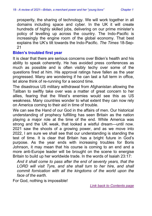prosperity, the sharing of technology. We will work together in all domains including space and cyber. In the UK it will create hundreds of highly skilled jobs, delivering on our prime minister's policy of levelling up across the country. The Indo-Pacific is increasingly the engine room of the global economy. That best explains the UK's tilt towards the Indo-Pacific. *The Times* 18-Sep-21

#### <span id="page-17-0"></span>**Biden's troubled first year**

It is clear that there are serious concerns over Biden's health and his ability to speak coherently. He has avoided press conferences as much as possible and is often visibly techy over some of the questions fired at him. His approval ratings have fallen as the year progressed. Many are wondering if he can last a full term in office, let alone think of re-running for a second time.

The disastrous US military withdrawal from Afghanistan allowing the Taliban to swiftly take over was a matter of great concern to her allies, fearing that the West's enemies would see this as US weakness. Many countries wonder to what extent they can now rely on America coming to their aid in time of trouble.

We can see the Hand of our God in the affairs of men. Our historical understanding of prophecy fulfilling has seen Britain as the nation playing a major role at the time of the end. While America was strong and the UK weak, that looked a wistful dream—until now. 2021 saw the shoots of a growing power, and as we move into 2022, I am sure we shall see that our understanding is standing the test of time. It is clear that Britain has a bright future in God's purpose. As the year ends with increasing troubles for Boris Johnson, it may mean that his course is coming to an end and a more anti-Europe leader will be brought on the scene to energise Britain to build up her worldwide trade. In the words of Isaiah 23:17:

*And it shall come to pass after the end of seventy years, that the LORD will visit Tyre, and she shall turn to her hire, and shall commit fornication with all the kingdoms of the world upon the face of the earth.*

For God, nothing is impossible!

*[Link back to Contents page](#page-3-0)*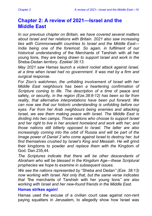## <span id="page-18-0"></span>**Chapter 2: A review of 2021—Israel and the Middle East**

*In our previous chapter on Britain, we have covered several matters about Israel and her relations with Britain. 2021 also saw increasing ties with Commonwealth countries to Israel and the Middle East— India being one of the foremost. So again, in fulfilment of our historical understanding of* the Merchants of Tarshish with all her young lions*, they are being drawn to support Israel and work in the*  Sheba-Dedan *territory. Ezekiel 38:13.*

*May 2021 saw Hamas launch a violent rocket attack against Israel, at a time when Israel had no government. It was met by a firm and surgical response.*

*For Zion's watchmen, the unfolding involvement of Israel with her Middle East neighbours has been a heartening confirmation of Scripture coming to life. The description of a time* of peace and safety*, or security, in the region (Eze.38:8-12) has been so far from reality, that alternative interpretations have been put forward. We can now see that our historic understanding is unfolding before our eyes. Far from her Arab neighbours being enemies and attacking Israel, we see them making peace with Israel. The Middle East is dividing into two camps. Those nations who choose to support Israel and her right to live in her ancient homeland and work with her; and those nations still bitterly opposed to Israel. The latter are also increasingly coming into the orbit of Russia and will be part of the Image power of Daniel 2 who come against Israel to destroy her, but find themselves crushed by Israel's King and Messiah. He will* grind their kingdoms to powder *and replace them with the* Kingdom of God*.* Dan.235,44.

*The Scriptures indicate that there will be other descendants of Abraham who will be blessed in the Kingdom Age—these Scriptural prophecies we hope to examine in subsequent issues.*

*We see the nations represented by* "Sheba and Dedan*" (Eze. 38:13) now working with Israel. Not only that, but the same verse indicates that "*the merchants of Tarshish with her young lions*" are also working with Israel and her new-found friends in the Middle East.*

#### <span id="page-18-1"></span>**Hamas strikes again!**

Hamas used the excuse of a civilian court case against non-rent paying squatters in Jerusalem, to allegedly show how Israel was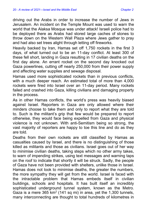driving out the Arabs in order to increase the number of Jews in Jerusalem. An incident on the Temple Mount was used to warn the world that the Alaksa Mosque was under attack! Israeli police had to be deployed there as Arabs had stored large caches of stones to throw down on the Western Wall Plaza where Jews gather to pray and had also set trees alight through letting off fireworks.

Heavily backed by Iran, Hamas set off 1,750 rockets in the first 3 days, of what turned out to be an 11-day conflict. At least 300 of these fell short, landing in Gaza resulting in 17 civilian deaths on the first day alone. An errant rocket on the second day knocked out Gaza powerlines, cutting off nearly 250,000 from their power supply and affecting water supplies and sewage disposal.

Hamas used more sophisticated rockets than in previous conflicts, with a much deeper reach. An estimated total of more than 4,000 rockets were fired into Israel over an 11-day period. Many rockets failed and crashed into Gaza, killing civilians and damaging property in the process.

As in other Hamas conflicts, the world's press was heavily biased against Israel. Reporters in Gaza are only allowed where their minders choose to take them and only to report what they are told to. Such is the militant's grip that few would be prepared to report otherwise, they would face being expelled from Gaza and physical violence is not unknown. With anti-Semitism being so strong, the vast majority of reporters are happy to toe this line and do as they are told.

Deaths from their own rockets are still classified by Hamas as casualties caused by Israel, and there is no distinguishing of those killed as militants and those as civilians. Israel goes out of her way to minimise civilian deaths, taking steps which no other army takes, to warn of impending strikes, using text messages and warning taps on the roof to indicate that shortly it will be struck. Sadly, the people of Gaza have not been provided with shelters, unlike those in Israel. Hamas does not look to minimise deaths, the greater the numbers, the more sympathy they will get from the world. Israel is faced with the intractable problem that Hamas embeds itself in civilian buildings, schools and hospitals. It has built itself an incredibly sophisticated underground tunnel system, known as the Metro. Gaza is a mere 365 km<sup>2</sup> (141 sq mi) in area, yet the 1,300 tunnels, many interconnecting are thought to total hundreds of kilometres in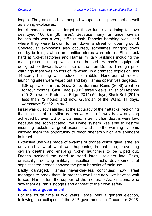length. They are used to transport weapons and personnel as well as storing explosives.

Israel made a particular target of these tunnels, claiming to have destroyed 100 km (60 miles). Because many run under civilian houses this was a very difficult task. Pinpoint bombing was used where they were known to run down a street or open ground. Spectacular explosions also occurred, sometimes bringing down nearby buildings when ammunition stores were struck. She struck hard at rocket factories and Hamas military buildings including the main press building which also housed Hamas's equipment designed to thwart Israel's use of the Iron Dome. Through prior warnings there was no loss of life when, in a dramatic explosion, this 14-storey building was reduced to rubble. Hundreds of rocketlaunching sites were wiped out and key Hamas operatives targeted.

IDF operations in the Gaza Strip. Summer Rains (2006) went on for four months; Cast Lead (2009) three weeks; Pillar of Defense (2012) a week; Protective Edge (2014) 50 days; Black Belt (2019) less than 72 hours; and now, Guardian of the Walls, 11 days. *Jerusalem Post* 21-May-21

Israel was quietly satisfied at the accuracy of their attacks, reckoning that the militant to civilian deaths were 1 to 1, way below anything achieved by even US or UK armies. Israeli civilian deaths were low, because the sophisticated Iron Dome system was able to destroy incoming rockets—at great expense, and also the warning systems allowed them the opportunity to reach shelters which are abundant in Israel.

Extensive use was made of swarms of drones which gave Israel an unrivalled view of what was happening in real time, preventing civilian deaths and enabling rocket launchers to be wiped out. Drones avoided the need to send Israeli soldiers into Gaza, drastically reducing military casualties. Israel's development of sophisticated drones showed the great benefits of their use.

Badly damaged, Hamas never-the-less continues; how Israel manages to break them, in order to dwell securely, we have to wait to see. Hamas lost the support of the moderate Arab nations, who saw them as Iran's stooges and a threat to their own safety.

#### <span id="page-20-0"></span>**Israel's new government**

For the fourth time in two years, Israel held a general election, following the collapse of the  $34<sup>th</sup>$  government in December 2018.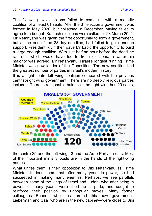The following two elections failed to come up with a majority coalition of at least 61 seats. After the  $3<sup>rd</sup>$  election a government was formed in May 2020, but collapsed in December, having failed to agree to a budget. So fresh elections were called for 23 March 2021. Mr Netanyahu was given the first opportunity to form a government, but at the end of the 28-day deadline, had failed to gain enough support. President Rivin then gave Mr Lapid the opportunity to build a large enough coalition. With just half-an-hour before the deadline ran out, which would have led to fresh elections, a wafer-thin majority was agreed. Mr Netanyahu, Israel's longest running Prime Minister was now leader of the Opposition! The new coalition had the greatest number of parties in Israel's modern history.

It is a right-centre-left wing coalition compared with the previous centrist-right wing government. There are no deeply religious parties included. There is reasonable balance - the right wing has 20 seats,



the centre 25 and the left wing 13 and the Arab Party 4 seats. Most of the important ministry posts are in the hands of the right-wing parties.

What unites them is their opposition to Bibi Netanyahu as Prime Minister. It does seem that after many years in power, he had succeeded in making many enemies. Perhaps, we see parallels between some of the kings of Israel and Judah, who after being in power for many years, were lifted up in pride, and sought to reinforce their position by unpopular moves. Many former colleagues—Bennett who has formed this new government, Lieberman and Saar who are in the new cabinet—were close to Bibi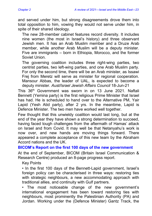and served under him, but strong disagreements drove them into total opposition to him, vowing they would not serve under him, in spite of their shared ideology.

The new 28-member cabinet features record diversity. It includes nine women (the most in Israel's history) and three observant Jewish men. It has an Arab Muslim member and a Druze Arab member, while another Arab Muslim will be a deputy minister. Five are immigrants – born in Ethiopia, Morocco, and the former Soviet Union.

The governing coalition includes three right-wing parties, two centrist parties, two left-wing parties, and one Arab Muslim party. For only the second time, there will be an Arab minister, as Issawi Frej from Meretz will serve as minister for regional cooperation. Mansour Abbas, the leader of UAL, is expected to become a deputy minister. *Aust/Israel Jewish Affairs Council* 18-Jun-21

This 36<sup>th</sup> Government was sworn in on 13 June 2021. Naftali Bennett (Yemina party) is the first religious Prime Minister that Israel has had. He is scheduled to hand over to the Alternative PM, Yair Lapid (Yesh Atid party), after 2 yrs. In the meantime, Lapid is Defence Minister. The two men have worked well together.

Few thought that this unwieldy coalition would last long, but at the end of the year they have shown a strong determination to succeed, having faced tough challenges from the aftermath of Hamas' attack on Israel and from Covid. It may well be that Netanyahu's work is now over, and new hands are moving things forward. There appeared a complete acceptance of this new team by the Abraham Accord nations and the UK.

#### <span id="page-22-0"></span>**BICOM's Report on the first 100 days of the new government**

At the end of September, BICOM (Britain Israel Communication & Research Centre) produced an 8-page progress report.

Key Points

• In the first 100 days of the Bennett-Lapid government, Israel's foreign policy can be characterised in three ways: restoring ties with strategic neighbours, a new accommodating approach with traditional allies, and continuity with Gulf partners.

• The most noticeable change of the new government's international engagement has been toward restoring ties with neighbours, most prominently the Palestinian Authority (PA) and Jordan. Working under the (Defence Minister) Gantz Track, the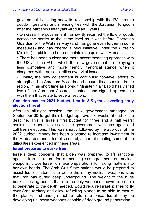government is setting anew its relationship with the PA through goodwill gestures and mending ties with the Jordanian Kingdom after the hardship Netanyahu-Abdullah II years.

• On Gaza, the government has swiftly returned the flow of goods across the border to the same level as it was before Operation Guardian of the Walls in May (and has gone even further in some measures) and has offered a new initiative under the (Foreign Minister) Lapid in the hope of maintaining quiet with Hamas.

• There has been a clear and more accommodating approach with the US and the EU in which the new government is deploying a less combative and more friendly rhetorical stance when it disagrees with traditional allies over vital issues.

• Finally, the new government is continuing top-level efforts to strengthen the Abraham Accords and ensure its expansion in the region. In his short time as Foreign Minister, Yair Lapid has visited two of the Abraham Accords countries and signed agreements with them that relate to several sectors.

#### <span id="page-23-0"></span>**Coalition passes 2021 budget, first in 3.5 years, averting early election threat**

After an all-night session, the new government managed on September 30 to get their budget approved, 6 weeks ahead of the deadline. This is Israel's first budget for three and a half years! avoiding the need to dissolve the government yet once again and call fresh elections. This was shortly followed by the approval of the 2022 budget. Money has been allocated to increase investment in the Arab areas under Israel's control, aimed at meeting some of the difficulties experienced in these areas.

#### <span id="page-23-1"></span>**Israel prepares to strike Iran**

Israel's deep concerns that Biden was prepared to lift sanctions against Iran in return for a meaningless agreement on nuclear weapons, drove Israel to make preparations for taking matters into her own hands. The Arab Gulf State nations would be prepared to assist Israel's attempts to bomb the many nuclear weapons sites that Iran has buried deep underground. The weight of the huge bunker-busting bombs that are the only weapons known to be able to penetrate to the depth needed, would require Israeli planes to fly over Arab territory and allow refuelling planes to be able to ensure the planes had enough fuel to return to base. Israel may be developing unknown weapons capable of deep ground penetration.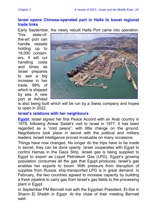#### <span id="page-24-0"></span>**Israel opens Chinese-operated port in Haifa to boost regional trade links**

Early September, the newly rebuilt Haifa Port came into operation.

This state-ofthe-art port can handle vessels holding up to 18,000 containers. It will cut handling costs and times as Israel prepares to see a big increase in her trade, 99% of which is shipped by sea. A new port at Ashdod



is also being built which will be run by a Swiss company and hopes to open in 2022.

#### <span id="page-24-1"></span>**Israel's relations with her neighbours**

**Egypt.** Israel signed her first Peace Accord with an Arab country in 1979, following Anwar Sadat's visit to Israel in 1977. It has been regarded as a "cold peace", with little change on the ground. Negotiations took place in secret with the political and military leaders. Israeli intelligence proved invaluable on many occasions.

Things have now changed. No longer do the trips have to be made in secret, they can be done openly. Israel cooperates with Egypt to control Hamas in the Gaza Strip. Israeli gas is being supplied to Egypt to export as Liquid Petroleum Gas (LPG). Egypt's growing population consumes all the gas that Egypt produces, Israel's gas enables her exports to boom. With pressure from disruption of supplies from Russia, ship-transported LPG is in great demand. In February, the two countries agreed to increase capacity by building a fresh pipeline to carry gas from Israel's gas fields to the processing plant in Egypt.

In September PM Bennett met with the Egyptian President, El-Sisi in Sharm El Sheikh in Egypt. At the close of their meeting Bennett said: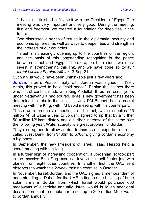"I have just finished a first visit with the President of Egypt. The meeting was very important and very good. During the meeting, first and foremost, we created a foundation for deep ties in the future.

"We discussed a series of issues in the diplomatic, security and economic spheres, as well as ways to deepen ties and strengthen the interests of our countries.

"Israel is increasingly opening up to the countries of the region, and the basis of this longstanding recognition is the peace between Israel and Egypt. Therefore, on both sides we must invest in strengthening this link, and we have done so today." *Israel Ministry Foreign Affairs* 13-Sep-21

Such a visit would have been unthinkable just a few years ago!

**Jordan.** Israel's Peace Treaty with Jordan was signed in 1994. Again, this proved to be a "cold peace". Behind the scenes there was secret contact made with King Abdullah II, but in recent years under Netanyahu it had soured. Israel's new government has been determined to rebuild those ties. In July PM Bennett held a secret meeting with the King, with FM Lapid meeting with his counterpart.

These were productive meetings and Israel, which supplies 55 million  $M<sup>3</sup>$  of water a year to Jordan, agreed to up that by a further 50 million  $M<sup>3</sup>$  immediately and a further increase of the same size the following year. Water scarcity is a great problem for Jordan.

They also agreed to allow Jordan to increase its exports to the socalled West Bank, from \$160m to \$700m, giving Jordan's economy a big boost.

In September, the new President of Israel, Isaac Herzog held a secret meeting with the King.

In a further sign of increasing cooperation, a Jordanian jet took part in the massive Blue Flag exercise, involving Israeli fighter jets with planes from eight other countries. In another first, the UAE sent observers to watch this 2-week training exercise in October.

In November, Israel, Jordan, and the UAE signed a memorandum of understanding in Dubai, for the UAE to finance the building of huge solar farms in Jordan from which Israel would purchase 600 megawatts of electricity annually. Israel would build an additional desalination plant to enable her to sell up to 200 million  $M<sup>3</sup>$  of water to Jordan annually.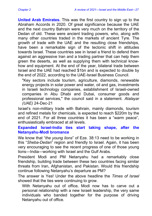**United Arab Emirates.** This was the first country to sign up to the Abraham Accords in 2020. Of great significance because the UAE and the next country Bahrain were very much on the territory of the Dedan of old. These were ancient trading powers, who, along with many other countries traded in the markets of ancient Tyre. The growth of trade with the UAE and the resulting close friendships, have been a remarkable sign of the tectonic shift in attitudes towards Israel. These countries see in Israel a friend to defend them against an aggressive Iran and a trading partner that can help them green the deserts, as well as supplying them with technical knowhow and equipment. At the end of the year, bilateral trade between Israel and the UAE had reached \$1bn and is expected to double by the end of 2022, according to the UAE-Israel Business Council.

"Key sectors include tourism, agriculture, diamonds, renewable energy projects in solar power and water, oil and gas, investments in Israeli technology companies, establishment of Israeli-owned companies in Abu Dhabi and Dubai, consumer goods and professional services," the council said in a statement. *Atalayar (UAE)* 24-Dec-21

Israel's non-military trade with Bahrain, mainly diamonds, tourism and refined metals for chemicals, is expected to reach \$220m by the end of 2021. For all three countries it has been a "warm peace", enthusiastically embraced at all levels.

#### <span id="page-26-0"></span>**Expanded Israel-India ties start taking shape, after the Netanyahu-Modi bromance**

We know that "*the young lions*" of Eze. 38:13 need to be working in this "*Sheba-Dedan*" region and friendly to Israel. Again, it has been very encouraging to see the recent progress of one of those young lions—India—working with Israel and the Gulf Arabs.

President Modi and PM Netanyahu had a remarkably close friendship, building trade between these two countries facing similar threats from Iran, Afghanistan, and Pakistan. Would this friendship continue following Netanyahu's departure as PM?

The answer is Yes! Under the above headline the *Times of Israel* showed that the ties were continuing to grow.

With Netanyahu out of office, Modi now has to carve out a personal relationship with a new Israeli leadership, the very same individuals who banded together for the purpose of driving Netanyahu out of office.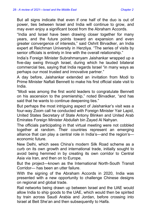But all signs indicate that even if one half of the duo is out of power, ties between Israel and India will continue to grow, and may even enjoy a significant boost from the Abraham Accords.

"India and Israel have been drawing closer together for many years, and the future points toward an expansion and even greater convergence of interests," said Oshrit Birvadker, an India expert at Reichman University in Herzliya. "The series of visits by senior officials is entirely in line with the overall relationship."

India's Foreign Minister Subrahmanyam Jaishankar wrapped up a five-day swing through Israel, during which he lauded bilateral commercial ties, saying that India regards Israel "in many ways as perhaps our most trusted and innovative partner."

A day before, Jaishankar extended an invitation from Modi to Prime Minister Naftali Bennett to make his first official state visit to India.

"Modi was among the first world leaders to congratulate Bennett on his ascension to the premiership," noted Birvadker, "and has said that he wants to continue deepening ties."

But perhaps the most intriguing aspect of Jaishankar's visit was a four-way Zoom call he conducted with Foreign Minister Yair Lapid, United States Secretary of State Antony Blinken and United Arab Emirates Foreign Minister Abdullah bin Zayed Al Nahyan.

The officials participating in that virtual meeting were not cobbled together at random. Their countries represent an emerging alliance that can play a central role in India's—and the region's economic future.

New Delhi, which sees China's modern Silk Road scheme as a curb on its own growth and international trade, initially sought to avoid being hemmed in by creating its own corridor to Central Asia via Iran, and then on to Europe.

But the project—known as the International North-South Transit Corridor— has been an utter failure.

With the signing of the Abraham Accords in 2020, India was presented with a new opportunity to challenge Chinese designs on regional and global trade.

Rail networks being drawn up between Israel and the UAE would allow India to ship goods to the UAE, which would then be spirited by train across Saudi Arabia and Jordan, before crossing into Israel at Beit She'an and then subsequently to Haifa.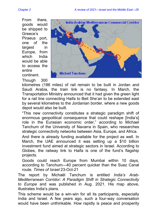From there, goods would be shipped to Greece's Piraeus port, one of the largest in Europe, from which India would be able to access the entire continent.

Though 300



kilometres (186 miles) of rail remain to be built in Jordan and Saudi Arabia, the train link is no fantasy. In March, the Transportation Ministry announced that it had given the green light for a rail line connecting Haifa to Beit She'an to be extended east by several kilometres to the Jordanian border, where a new goods depot would also be built.

"This new connectivity constitutes a strategic paradigm shift of enormous geopolitical consequence that could reshape [India's] role in the Eurasian economic order," according to Michael Tanchum of the University of Navarra in Spain, who researches strategic connectivity networks between Asia, Europe, and Africa.

And there is already funding available for the project as well. In March, the UAE announced it was setting up a \$10 billion investment fund aimed at strategic sectors in Israel. According to Globes, the railway link to Haifa is one of the fund's flagship projects.

Goods could reach Europe from Mumbai within 10 days, according to Tanchum—40 percent quicker than the Suez Canal route. *Times of Israel* 23-Oct-21

The report by Michaël Tanchum is entitled *India's Arab-Mediterranean Corridor: A Paradigm Shift in Strategic Connectivity to Europe* and was published in Aug. 2021. His map above, illustrates India's plans.

This scheme would be a win-win for all its participants, especially India and Israel. A few years ago, such a four-way conversation would have been unthinkable. How rapidly is peace and prosperity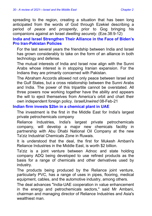spreading to the region, creating a situation that has been long anticipated from the words of God through Ezekiel describing a period of *peace* and *prosperity*, prior to Gog bringing his companions against an Israel *dwelling securely*. (Eze.38:9-12)

#### <span id="page-29-0"></span>**India and Israel Strengthen Their Alliance in the Face of Biden's Pro Iran-Pakistan Policies**

For the last several years the friendship between India and Israel has grown considerably to take on the form of an alliance in both technology and defense.

The mutual interests of India and Israel now align with the Sunni Arabs whose interest is in stopping Iranian expansion. For the Indians they are primarily concerned with Pakistan.

The Abraham Accords allowed not only peace between Israel and the Gulf States, but a cross relationship between the Sunni Arabs and India. The power of this tripartite cannot be overstated. All three powers now working together have the ability and appears the will to eject themselves from America's orbit and chart their own independent foreign policy. *IsraelUnwired* 08-Feb-21

#### <span id="page-29-1"></span>**Indian firm invests \$2bn in a chemical plant in UAE**

The investment is the first in the Middle East for India's largest private petrochemicals company

Reliance Industries, India's largest private petrochemicals company, will develop a major new chemicals facility in partnership with Abu Dhabi National Oil Company at the new Ta'ziz Industrial Chemicals Zone in Ruwais.

It is understood that the deal, the first for Mukesh Ambani's Reliance Industries in the Middle East, is worth \$2 billion.

Ta'ziz is a joint venture between Adnoc and state holding company ADQ being developed to use refined products as the basis for a range of chemicals and other derivatives used by industry.

The products being produced by the Reliance joint venture, particularly PVC, has a range of uses in pipes, flooring, medical equipment, cables, and the automotive industry, among others.

The deal advances "India-UAE cooperation in value enhancement in the energy and petrochemicals sectors," said Mr Ambani, chairman and managing director of Reliance Industries and Asia's wealthiest man.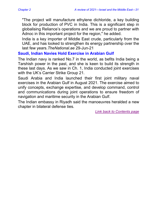"The project will manufacture ethylene dichloride, a key building block for production of PVC in India. This is a significant step in globalising Reliance's operations and we are proud to partner with Adnoc in this important project for the region," he added.

India is a key importer of Middle East crude, particularly from the UAE, and has looked to strengthen its energy partnership over the last few years.*TheNational.ae* 29-Jun-21

#### <span id="page-30-0"></span>**Saudi, Indian Navies Hold Exercise in Arabian Gulf**

The Indian navy is ranked No.7 in the world, as befits India being a Tarshish power in the past, and she is keen to build its strength in these last days. As we saw in Ch. 1, India conducted joint exercises with the UK's Carrier Strike Group 21.

Saudi Arabia and India launched their first joint military naval exercises in the Arabian Gulf in August 2021. The exercise aimed to unify concepts, exchange expertise, and develop command, control and communications during joint operations to ensure freedom of navigation and maritime security in the Arabian Gulf.

The Indian embassy in Riyadh said the manoeuvres heralded a new chapter in bilateral defense ties.

*[Link back to Contents page](#page-3-0)*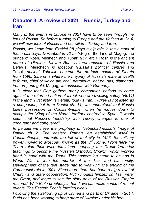## <span id="page-31-0"></span>**Chapter 3: A review of 2021—Russia, Turkey and Iran**

*Many of the events in Europe in 2021 have to be seen through the lens of Russia. So before turning to Europe and the Vatican in Ch.4, we will now look at Russia and her allies—Turkey and Iran.*

*Russia, we know from Ezekiel 38 plays a big role in the events of these last days. Described in v2 as "*Gog of the land of Magog, the prince of Rosh, Meshech and Tubal*" (RV, etc.).* Rosh *is the ancient name of Ukraine—Kievan Rus—cultural ancestor of Russia and Belarus.* Meschech *is Moscow (Russia's political centre) and*  Tubal*—ancient Tobolsk—became the de-facto capital of Siberia from 1590. Siberia is where the majority of Russia's mineral wealth is found, chief of which are coal, petroleum, natural gas, diamonds, iron ore, and gold.* Magog*, we associate with Germany.*

*It is clear that Gog gathers many companion nations to come against the returned nation of Israel who are dwelling safely (v8,11) in the land. First listed is* Persia*, today's Iran. Turkey is not listed as a companion, but from Daniel ch. 11, we understand that Russia takes possession of Constantinople, when he moves down to occupy the "King of the North" territory centred in Syria. It would seem that Russia's friendship with Turkey changes to one of conqueror and conquered!*

*In parallel we have the prophecy of Nebuchadnezzar's Image of Daniel ch 2. The eastern Roman leg established itself in Constantinople, and with the fall of that city in 1453, the military power moved to Moscow, known as the 3rd Rome. From here the Tsars ruled their vast dominions, adopting the Greek Orthodox teachings to become the Russian Orthodox Church, which worked hand in hand with the Tsars. This eastern leg came to an end in World War I, with the murder of the Tsar and his family. Development of the feet stage had to wait until the ending of the Communist rule in 1991. Since then, there has been a big revival of Church and State cooperation. Putin models himself on Tsar Peter the Great, and longs to see the glory days of the Russian Empire restored. With Bible prophecy in hand, we can make sense of recent events. The Eastern Foot is forming nicely!*

*Following the swallowing up of Crimea and parts of Ukraine in 2014, Putin has been working to bring more of Ukraine under his heel.*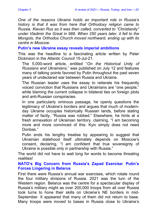*One of the reasons Ukraine holds an important role in Russia's history is that it was from here that Orthodoxy religion came to Russia. Kievan Rus as it was then called, converted to "Christianity" under Vladimir the Great in 988. When 250 years later, it fell to the Mongols, the Orthodox Church moved northward, ending up with its centre in Moscow.*

<span id="page-32-0"></span>**Putin's new Ukraine essay reveals imperial ambitions**

This was the headline to a fascinating article written by Peter Dickinson in the *Atlantic Council* 15-Jul-21.

The 5,000-word article, entitled "*On the Historical Unity of Russians and Ukrainians*," was published on July 12 and features many of talking points favored by Putin throughout the past seven years of undeclared war between Russia and Ukraine.

The Russian leader uses the essay to reiterate his frequently voiced conviction that Russians and Ukrainians are "one people," while blaming the current collapse in bilateral ties on foreign plots and anti-Russian conspiracies.

In one particularly ominous passage, he openly questions the legitimacy of Ukraine's borders and argues that much of modernday Ukraine occupies historically Russian lands, before stating matter of factly, "Russia was robbed." Elsewhere, he hints at a fresh annexation of Ukrainian territory, claiming, "I am becoming more and more convinced of this: Kyiv simply does not need Donbas."

Putin ends his lengthy treatise by appearing to suggest that Ukrainian statehood itself ultimately depends on Moscow's consent, declaring, "I am confident that true sovereignty of Ukraine is possible only in partnership with Russia."

The world did not have to wait long for words to become threating **realities!** 

#### <span id="page-32-1"></span>**NATO's Big Concern from Russia's Zapad Exercise: Putin's Forces Lingering in Belarus**

First there were Russia's annual war exercises, which rotate round the four military divisions of Russia. 2021 was the turn of the Western region. Belarus was the centre for a spectacular display of Russia's military might as over 200,000 troops from all over Russia took turns to hone their skills on Ukraine's NE borders in mid-September. It appeared that many of them did not return to base. Many troops were moved to bases in Russia close to Ukraine's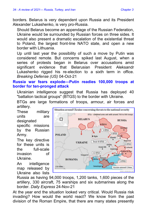borders. Belarus is very dependent upon Russia and its President Alexander Lukashenko, is very pro-Russia.

Should Belarus become an appendage of the Russian Federation, Ukraine would be surrounded by Russian forces on three sides. It would also present a dramatic escalation of the existential threat to Poland, the largest front-line NATO state, and open a new border with Lithuania.

Up until last year the possibility of such a move by Putin was considered remote. But concerns spiked last August, when a series of protests began in Belarus over accusations amid significant evidence that Belarusian President Aleksandr Lukashenko rigged his re-election to a sixth term in office. *Breaking Defense (US)* 04-Oct-21

<span id="page-33-0"></span>**Russia war fears explode—Putin readies 100,000 troops at border for ten-pronged attack**

Ukrainian intelligence suggest that Russia has deployed 40 "battalion tactical groups" (BTGS) to the border with Ukraine.

BTGs are large formations of troops, armour, air forces and artillery.

These military units are designated specific missions by the Russian Army.

The key directive for these units is the full-scale invasion of Ukraine.

An intelligence map released by Ukraine also lists



Russia as having 94,000 troops, 1,200 tanks, 1,600 pieces of the artillery, 330 aircraft, 75 warships and six submarines along the border. *Daily Express* 24-Nov-21

At the year end the situation looked very critical. Would Russia risk invading? How would the world react? We know from the past division of the Roman Empire, that there are many states presently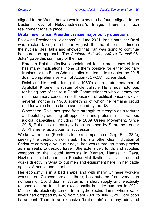aligned to the West, that we would expect to be found aligned to the Eastern Foot of Nebuchadnezzar's Image. There is much realignment to take place!

<span id="page-34-0"></span>**Brutal new Iranian President raises major policy questions**

Following Presidential "elections" in June 2021, Iran's hardliner Raisi was elected, taking up office in August. It came at a critical time in the nuclear deal talks and showed that Iran was going to continue her hard-line approach. The *Aust/Israel Jewish Affairs Council* 06- Jul-21 gave this summary of the man.

Ebrahim Raisi's effective appointment to the presidency of Iran has many implications, none of them positive for either ordinary Iranians or the Biden Administration's attempt to re-enter the 2015 Joint Comprehensive Plan of Action (JCPOA) nuclear deal.

Raisi cut his teeth during the 1980's as a brutal enforcer of Ayatollah Khomeini's system of clerical rule. He is most notorious for being one of the four Death Commissioners who oversaw the mass summary execution of thousands of political prisoners over several months in 1988, something of which he remains proud and for which he has been sanctioned by the US.

Since then, Raisi has gone from strength to strength as a torturer and butcher, crushing all opposition and protests in his various judicial capacities, including the 2009 Green Movement. Since 2016, Raisi has increasingly been groomed by Supreme Leader Ali Khamenei as a potential successor.

We know that Iran (Persia) is to be a companion of Gog (Eze. 38:5). seeking the destruction of Israel. This is another clear indication of Scripture coming alive in our days. Iran works through many proxies as she seeks to destroy Israel. She extensively funds and supplies weapons to the Houthi terrorists in Yemen, Hamas in Gaza, Hezbollah in Lebanon, the Popular Mobilization Units in Iraq and works directly in Syria to put men and equipment here, in her battle against America and Israel.

Her economy is in a bad shape and with many Chinese workers working on Chinese projects there, has suffered from very high numbers of Covid deaths. Water is in short supply and electricity rationed as Iran faced an exceptionally hot, dry summer in 2021. Much of its electricity comes from hydroelectric dams, where water levels had dropped by 47% from Sept 2020 to July 2021. Corruption is rampant. There is an extensive "brain-drain" as many educated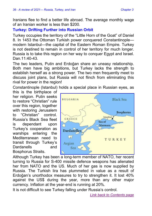Iranians flee to find a better life abroad. The average monthly wage of an Iranian worker is less than \$200.

#### <span id="page-35-0"></span>**Turkey: Drifting Further into Russian Orbit**

Turkey occupies the territory of the "Little Horn of the Goat" of Daniel 8. In 1453 the Ottoman Turkish power conquered Constantinople modern Istanbul—the capital of the Eastern Roman Empire. Turkey is not destined to remain in control of her territory for much longer. Russia is to take this region on her way to conquer Egypt and Israel. Dan. 11:40-43

The two leaders, Putin and Erdoğan share an uneasy relationship. Both men have big ambitions, but Turkey lacks the strength to establish herself as a strong power. The two men frequently meet to discuss joint plans, but Russia will not flinch from eliminating this rival for power in the region!

Constantinople (Istanbul) holds a special place in Russian eyes, as

this is the birthplace of her religion. Putin seeks to restore "Christian" rule over this region, together with restoring Jerusalem to "Christian" control. Russia's Black Sea fleet is dependant upon Turkey's cooperation as warships entering the Mediterranean need to transit through Turkey's Dardanells and Bosphorus Straits.



Although Turkey has been a long-term member of NATO, her recent turning to Russia for S-400 missile defence weapons has alienated her from NATO and the US. Much of her gas is now supplied by Russia. The Turkish lira has plummeted in value as a result of Erdoğan's unorthodox measures to try to strengthen it. It lost 40% against the US\$ during the year, more than any other major currency. Inflation at the year-end is running at 20%.

It is not difficult to see Turkey falling under Russia's control.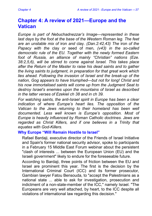## <span id="page-36-0"></span>**Chapter 4: A review of 2021—Europe and the Vatican**

*Europe is part of Nebuchadnezzar's Image—represented in these last days by the foot at the base of the Western Roman leg. The feet are an unstable mix of* iron *and* clay*. (Dan.2:42,43) The* iron *of the Papacy with the* clay *or* seed of men*, (v43) in the so-called democratic rule of the EU. Together with the newly formed Eastern foot of Russia, an alliance of mainly "Christian" nations (Eze. 38:2,5,6), will be stirred to come against Israel. This takes place after the Return of the Master to raise his dead saints and to gather the living saints to judgment, in preparation for that great work which lies ahead. Following the invasion of Israel and the break-up of the nation, Gog appears to have triumphed—but not for long! Christ and his now immortalised saints will come up from the Judgment Seat to destroy Israel's enemies upon the mountains of Israel as described in the latter verses of Ezekiel ch 38 and in ch 39.*

*For watching saints, the anti-Israel spirit in Europe has been a clear indication of where Europe's heart lies. The opposition of the Vatican to the Jews returning to their homeland has been well documented. Less well known is Europe's opposition. Most of Europe is heavily influenced by Roman Catholic doctrines. Jews are regarded as Christ Killers, and if one believes in a Trinity that equates with God-Killers.*

#### <span id="page-36-1"></span>**Why Europe "Will Remain Hostile to Israel"**

Rafael Bardaji, executive director of the Friends of Israel Initiative and Spain's former national security advisor, spoke to participants in a February 15 Middle East Forum webinar about the persistent "clash of interests ... between the European Union (EU) and the Israeli government" likely to endure for the foreseeable future.

According to Bardaji, three points of friction between the EU and Israel are prominent this year. The first is the decision by the International Criminal Court (ICC) and its former prosecutor, Gambian lawyer Fatou Bensouda, to "accept the Palestinians as a national state ... able to ask for investigation, prosecution and indictment of a non-state-member of the ICC," namely Israel. "The Europeans are very well attached, by heart, to the ICC despite all violations of international law regarding this decision."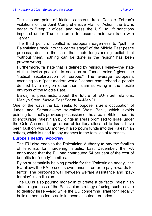The second point of friction concerns Iran. Despite Tehran's violations of the Joint Comprehensive Plan of Action, the EU is eager to "keep it afloat" and press the U.S. to lift sanctions imposed under Trump in order to resume their own trade with Tehran.

The third point of conflict is European eagerness to "pull the Palestinians back into the center stage" of the Middle East peace process, despite the fact that their longstanding belief that "without them, nothing can be done in the region" has been proven wrong.

Furthermore, "a state that is defined by religious belief—the state of the Jewish people"—is seen as an "anachronism" given the "radical secularization of Europe." The average European, ascribing to a "post-modern world," cannot comprehend a people defined by a religion other than Islam surviving in the hostile environs of the Middle East.

Bardaii is pessimistic about the future of EU-Israel relations. Marilyn Stern. *Middle East Forum* 14-Mar-21

One of the ways the EU seeks to oppose Israel's occupation of Judea and Samaria—the so-called West Bank, which avoids pointing to Israel's previous possession of the area in Bible times—is to encourage Palestinian buildings in areas promised to Israel under the Oslo Accords. Large areas of territory allocated to Israel have been built on with EU money. It also pours funds into the Palestinian coffers, which is used to pay moneys to the families of terrorists.

#### <span id="page-37-0"></span>**Europe's deadly hypocrisy**

The EU also enables the Palestinian Authority to pay the families of terrorists for murdering Israelis. Last December, the PA announced that the EU had contributed 54 per cent of the cost of benefits for "needy" families.

By so substantially helping provide for the "Palestinian needy," the EU allows the PA to use its own funds in order to pay rewards for terror. The purported wall between welfare assistance and "payfor-slay" is an illusion.

The EU is also pouring money in to create a de facto Palestinian state, regardless of the Palestinian strategy of using such a state to destroy Israel—and while the EU condemns Israel for "illegally" building homes for Israelis in these disputed territories.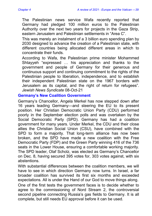The Palestinian news service Wafa recently reported that Germany had pledged 100 million euros to the Palestinian Authority over the next two years for projects in the Gaza Strip, eastern Jerusalem and Palestinian settlements in "Area C".

This was merely an instalment of a 3 billion euro spending plan by 2030 designed to advance the creation of a Palestinian state, with different countries being allocated different areas in which to concentrate their funds.

According to Wafa, the Palestinian prime minister Mohammed Shtayyeh "expressed … his appreciation and thanks to the government and people of Germany for their generous and continuous support and continuing commitment to the rights of the Palestinian people to liberation, independence, and to establish their independent Palestinian state on the 1967 borders with Jerusalem as its capital, and the right of return for refugees". *Jewish News Syndicate* 08-Oct-21

#### <span id="page-38-0"></span>**Germany's New Coalition Government**

Germany's Chancellor, Angela Merkel has now stepped down after 16 years leading Germany—and steering the EU to its present position. Her Christian Democratic Union Party (CDU) performed poorly in the September election polls and was overtaken by the Social Democratic Party (SPD). Germany has had a coalition government for many years. Under Merkel, the CDU and their close allies the Christian Social Union (CSU), have combined with the SPD to form a majority. That long-term alliance has now been broken, and the SPD have made a new coalition with the Free Democratic Party (FDP) and the Green Party winning 416 of the 736 seats in the Lower House, ensuring a comfortable working majority. The SPD leader, Olaf Scholz, was elected as Germany's Chancellor on Dec. 8, having secured 395 votes for, 303 votes against, with six abstentions.

With substantial differences between the coalition members, we will have to see in which direction Germany now turns. In Israel, a far broader coalition has survived its first six months and exceeded expectations. All is under the Hand of our God to move things along.

One of the first tests the government faces is to decide whether to agree to the commissioning of Nord Stream 2, the controversial second pipeline connecting Russia's gas fields to Germany. It is all complete, but still needs EU approval before it can be used.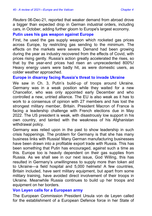*Reuters* 06-Dec-21, reported that weaker demand from abroad drove a bigger than expected drop in German industrial orders, including cars, in October, adding further gloom to Europe's largest economy.

#### <span id="page-39-0"></span>**Putin uses his gas weapon against Europe**

First, he used the gas supply weapon which rocketed gas prices across Europe, by restricting gas sending to the minimum. The effects on the markets were severe. Demand had been growing during the year as industry recovered from the effects of Covid, with prices rising gently. Russia's action greatly accelerated the rises, so that by the year-end prices had risen an unprecedented 800%! Heavy energy users were badly hit, as were domestic users, as colder weather approached.

#### <span id="page-39-1"></span>**Europe in disarray facing Russia's threat to invade Ukraine**

We saw in Ch. 3, Putin's build-up of troops around Ukraine. Germany was in a weak position while they waited for a new Chancellor, who was only appointed early December and who controlled a new, untried alliance. The EU is also weak as it has to work to a consensus of opinion with 27 members and has lost the strongest military member, Britain. President Macron of France is facing a leadership challenge with French elections due in May 2022. The US president is weak, with disastrously low support in his own country, and tainted with the weakness of his Afghanistan withdrawal policy.

Germany was relied upon in the past to show leadership in such crisis happenings. The problem for Germany is that she has many business links with Russia! Many German manufacturing businesses have been drawn into a profitable export trade with Russia. This has been something that Putin has encouraged, against such a time as this. Europe too is heavily dependent on their gas supplies from Russia. As we shall see in our next issue, God Willing, this has resulted in Germany's unwillingness to supply more than token aid to Ukraine—a field hospital and 5,000 helmets! A few countries, Britain included, have sent military equipment, but apart from some military training, have avoided direct involvement of their troops in Ukraine. Meanwhile Russia continues to build up her troops and equipment on her borders.

#### <span id="page-39-2"></span>**Von Leyen calls for a European army**

The European Commission President Ursula von de Leyen called for the establishment of a European Defence force in her State of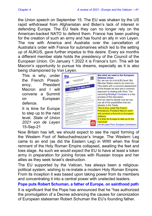the Union speech on September 15. The EU was shaken by the US rapid withdrawal from Afghanistan and Biden's lack of interest in defending Europe. The EU feels they can no longer rely on the American-backed NATO to defend them. France has been pushing for the creation of such an army and has found an ally in von Leyen. The row with America and Australia over the cancellation of Australia's order with France for submarines which led to the setting up of AUKUS, gave further impetus to this desire. Every six months a different member state holds the presidency of the Council of the European Union. On January 1 2022 it is France's turn. This will be Macron's opportunity to pursue his dreams, especially as it is also being championed by Von Leyen.

This is why, under the French Presidency, President Macron and I will convene a Summit on European defence.

It is time for Europe to step up to the next level. *State of Union 2021 von de Leyen* 15-Sep-21



Now Britain has left, we should expect to see the rapid forming of the Western Foot of Nebuchadnezzar's Image. The Western Leg came to an end (as did the Eastern Leg) in WWI when the final remnant of the Holy Roman Empire collapsed, awaiting the feet and toes stage. As such we would expect the EU to have at least a token army in preparation for joining forces with Russian troops and her allies as they seek Israel's destruction.

The EU supported by the Vatican, has always been a religiouspolitical system, wishing to re-instate a modern Holy Roman Empire. From its inception it was based upon taking power from its members and concentrating it into a central power with unelected leaders.

#### <span id="page-40-0"></span>**Pope puts Robert Schuman, a father of Europe, on sainthood path**

It is significant that the Pope has announced that he "has authorized the promulgation of a Decree advancing the causes for canonization of European statesman Robert Schuman the EU's founding father.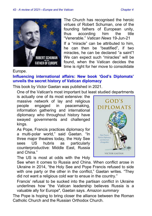

The Church has recognised the heroic virtues of Robert Schuman, one of the founding fathers of European unity, thus according him the title "Venerable." *Vatican News* 19-Jun-21 If a "miracle" can be attributed to him, he can then be "beatified", if two miracles, he can be declared "a saint"! We can expect such "miracles" will be found, when the Vatican decides the time is right for her move to consolidate

#### Europe.

#### <span id="page-41-0"></span>**Influencing international affairs: New book 'God's Diplomats' unveils the secret history of Vatican diplomacy**

This book by Victor Gaetan was published in 2021.

One of the Vatican's most important but least studied departments

is actually one of its most extensive: the massive network of lay and religious people engaged in peacemaking, information gathering and international diplomacy who throughout history have swayed governments and challenged kings.

As Pope, Francis practices diplomacy for a multi-polar world," said Gaetan. "In three major theatres today, the Holy See sees US hubris as particularly counterproductive: Middle East, Russia and China."

The US is most at odds with the Holy



See when it comes to Russia and China. When conflict arose in Ukraine in 2014, "the Holy See and Pope Francis refused to side with one party or the other in the conflict." Gaetan writes. "They did not want a religious cold war to ensue in the country."

Francis' refusal to be sucked into the partisan conflict in Ukraine underlines how "the Vatican leadership believes Russia is a valuable ally for Europe", Gaetan says. *Amazon summary*

The Pope is hoping to bring closer the alliance between the Roman Catholic Church and the Russian Orthodox Church.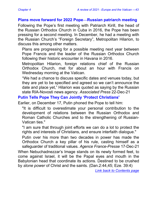#### <span id="page-42-0"></span>**Plans move forward for 2022 Pope—Russian patriarch meeting**

Following the Pope's first meeting with Patriarch Kirill, the head of the Russian Orthodox Church in Cuba in 2016, the Pope has been pressing for a second meeting. In December, he had a meeting with the Russian Church's "Foreign Secretary", Metropolitan Hilarion, to discuss this among other matters.

Plans are progressing for a possible meeting next year between Pope Francis and the leader of the Russian Orthodox Church following their historic encounter in Havana in 2016.

Metropolitan Hilarion, foreign relations chief of the Russian Orthodox Church, met for about an hour with Francis on Wednesday morning at the Vatican.

"We had a chance to discuss specific dates and venues today, but they are yet to be specified and agreed so we can't announce the date and place yet," Hilarion was quoted as saying by the Russian state RIA-Novosti news agency. *Associated Press* 22-Dec-21

#### <span id="page-42-1"></span>**Putin Tells Pope They Can Jointly 'Protect Christians'**

Earlier, on December 17, Putin phoned the Pope to tell him:

"It is difficult to overestimate your personal contribution to the development of relations between the Russian Orthodox and Roman Catholic Churches and to the strengthening of Russian-Vatican ties."

"I am sure that through joint efforts we can do a lot to protect the rights and interests of Christians, and ensure interfaith dialogue."

Putin over his more than two decades in power has made the Orthodox Church a key pillar of his rule, casting himself as a safeguarder of traditional values. *Agence France-Presse* 17-Dec-21

When Nebuchadnezzar's Image stands on its newly formed feet, to come against Israel, it will be the Papal eyes and mouth in the Babylonian head that coordinate its actions. Destined to be crushed by *stone power* of Christ and the saints. (Dan.2:44,45; Eze. 39:4)

*[Link back to Contents page](#page-3-0)*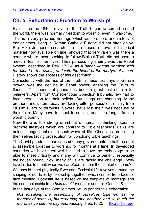## <span id="page-43-0"></span>**Ch. 5: Exhortation: Freedom to Worship!**

Ever since the 1840's revival of the Truth began to spread around the world, there was normally freedom to worship, even in war-time.

This is a very precious heritage which our brothers and sisters of earlier times, living in Roman Catholic Europe did not often enjoy. Bro Mike Jenner's research into the treasure trove of historical material now available on line, showed that very rarely was there a century where those seeking to follow Biblical Truth did not have to meet in fear of their lives. Their persecuting enemy was the Papal system, described in Rev. 17:3-6 as a *harlot woman drunken with the blood of the saints, and with the blood of the martyrs of Jesus.*  History shows the aptness of this description.

Coincidently with the rise of the Truth in these last days of Gentile power, was the decline in Papal power, enabling the Truth to flourish. This period of peace has been a great test of faith for believers. Apart from Conscientious Objection tribunals, few had to face persecution for their beliefs. But things are changing. Many brothers and sisters today are facing bitter persecution, mainly from Muslim rulers or terrorists. Several have lost their lives because of their faith. Many have to meet in small groups, no longer free to worship openly.

Now there is the strong drumbeat of humanist thinking, keen to promote lifestyles which are contrary to Bible teachings. Laws are being changed upholding such ways of life. Christians are finding themselves facing prosecution for upholding Bible teachings.

The Covid pandemic has caused many governments to halt the right to assemble together to worship, for months at a time. In developed countries we have been well blessed to have the technology to be able to meet virtually and many will continue to benefit, especially the house bound. Now many of us are facing the challenge. "Why travel miles to meet, when we can Zoom in from the comfort of home?"

We should meet physically if we can. Ecclesial life revolves around the shaping of our lives by fellowship together, which comes from face-toface meeting. Ecclesial life is based on the template of marriage and the companionship from *help meet for* one for another. Gen. 2:18

In the last days of the Gentile times, let us ponder this exhortation:

*Not forsaking the assembling of ourselves together, as the manner of some is; but exhorting one another: and so much the more, as ye see the day approaching.* Heb.10:25 *[Back to Contents](#page-3-0)*